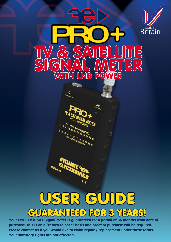

**Your Pro+ TV & SAT Signal Meter is guaranteed for a period of 36 months from date of purchase, this is on a "return to base" basis and proof of purchase will be required. Please contact us if you would like to claim repair / replacement under these terms. Your statutory rights are not affected.**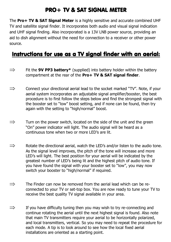## PRO+ TV & SAT SIGNAL METER

The **Pro+ TV & SAT Signal Meter** is a highly sensitive and accurate combined UHF TV and satellite signal finder. It incorporates both audio and visual signal indication and UHF signal finding. Also incorporated is a 13V LNB power source, providing an aid to dish alignment without the need for connection to a receiver or other power source.

### Instructions for use as a TV signal finder with an aerial:

- $\Rightarrow$  Fit the **9V PP3 battery**\* (supplied) into battery holder within the battery compartment at the rear of the **Pro+ TV & SAT signal finder**.
- $\implies$  Connect your directional aerial lead to the socket marked "TV". Note, if your aerial system incorporates an adjustable signal amplifier/booster, the best procedure is to first follow the steps below and find the strongest signal with the booster set to "low" boost setting, and if none can be found, then try again with the setting to "high/normal" boost.
- $\Rightarrow$  Turn on the power switch, located on the side of the unit and the green "On" power indicator will light. The audio signal will be heard as a continuous tone when two or more LED's are lit.
- $\Rightarrow$  Rotate the directional aerial, watch the LED's and/or listen to the audio tone. As the signal level improves, the pitch of the tone will increase and more LED's will light. The best position for your aerial will be indicated by the greatest number of LED's being lit and the highest pitch of audio tone. If you have found the signal with your booster set to "low", you may now switch your booster to "high/normal" if required.
- $\Rightarrow$  The Finder can now be removed from the aerial lead which can be reconnected to your TV or set-top box. You are now ready to tune your TV to receive the best quality TV signal available in your area.
- $\Rightarrow$  If you have difficulty tuning then you may wish to try re-connecting and continue rotating the aerial until the next highest signal is found. Also note that main TV transmitters require your aerial to be horizontally polarized, and local transmitters, vertical. So you may need to repeat the procedure for each mode. A tip is to look around to see how the local fixed aerial installations are oriented as a starting point.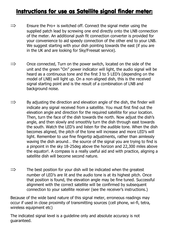#### Instructions for use as Satellite signal finder meter:

- $\Rightarrow$  Ensure the Pro+ is switched off. Connect the signal meter using the supplied patch lead by screwing one end directly onto the LNB connection of the meter. An additional push fit connection converter is provided for your convenience to aid speedy connection of the other end to your LNB. We suggest starting with your dish pointing towards the east (if you are in the UK and are looking for Sky/Freesat service).
- $\Rightarrow$  Once connected, Turn on the power switch, located on the side of the unit and the green "On" power indicator will light, the audio signal will be heard as a continuous tone and the first 3 to 5 LED's (depending on the model of LNB) will light up. On a non-aligned dish, this is the received signal starting point and is the result of a combination of LNB and background noise.
- $\Rightarrow$  By adjusting the direction and elevation angle of the dish, the finder will indicate any signal received from a satellite. You must first find out the elevation angle and direction for the required satellite for your location. Then, turn the face of the dish towards the north. Now adjust the dish's angle, and then slowly and smoothly turn the dish through east towards the south. Watch the LED's and listen for the audible tone. When the dish becomes aligned, the pitch of the tone will increase and more LED's will light. Remember to use fine fingertip adjustments, rather than aimlessly waving the dish around... the source of the signal you are trying to find is a pinpoint in the sky 18-25deg above the horizon and 22,300 miles above the equator!. A compass is a really useful aid and with practice, aligning a satellite dish will become second nature.
- $\Rightarrow$  The best position for your dish will be indicated when the greatest number of LED's are lit and the audio tone is at its highest pitch. Once that position is found, the elevation angle may be fine tuned. Successful alignment with the correct satellite will be confirmed by subsequent connection to your satellite receiver (see the receiver's instructions.)

Because of the wide band nature of this signal meter, erroneous readings may occur if used in close proximity of transmitting sources (cell phone, wi-fi, tetra, wireless equipment etc)

The indicated signal level is a guideline only and absolute accuracy is not wireless equipm<br>The indicated si<br>guaranteed.